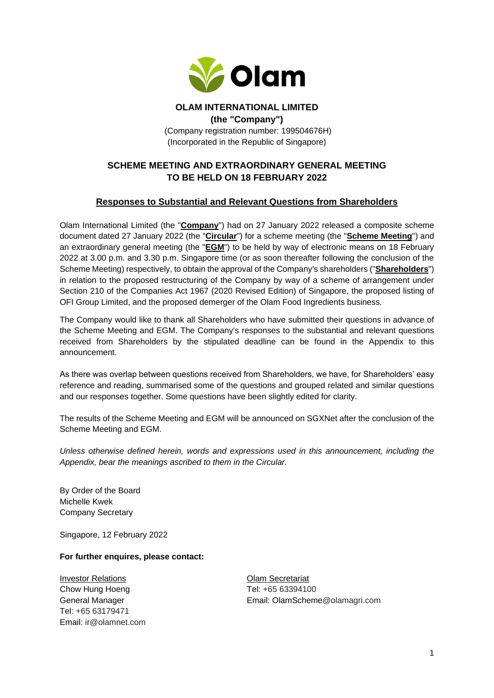

#### **OLAM INTERNATIONAL LIMITED (the "Company")** (Company registration number: 199504676H) (Incorporated in the Republic of Singapore)

# **SCHEME MEETING AND EXTRAORDINARY GENERAL MEETING TO BE HELD ON 18 FEBRUARY 2022**

# **Responses to Substantial and Relevant Questions from Shareholders**

Olam International Limited (the "**Company**") had on 27 January 2022 released a composite scheme document dated 27 January 2022 (the "**Circular**") for a scheme meeting (the "**Scheme Meeting**") and an extraordinary general meeting (the "**EGM**") to be held by way of electronic means on 18 February 2022 at 3.00 p.m. and 3.30 p.m. Singapore time (or as soon thereafter following the conclusion of the Scheme Meeting) respectively, to obtain the approval of the Company's shareholders ("**Shareholders**") in relation to the proposed restructuring of the Company by way of a scheme of arrangement under Section 210 of the Companies Act 1967 (2020 Revised Edition) of Singapore, the proposed listing of OFI Group Limited, and the proposed demerger of the Olam Food Ingredients business.

The Company would like to thank all Shareholders who have submitted their questions in advance of the Scheme Meeting and EGM. The Company's responses to the substantial and relevant questions received from Shareholders by the stipulated deadline can be found in the Appendix to this announcement.

As there was overlap between questions received from Shareholders, we have, for Shareholders' easy reference and reading, summarised some of the questions and grouped related and similar questions and our responses together. Some questions have been slightly edited for clarity.

The results of the Scheme Meeting and EGM will be announced on SGXNet after the conclusion of the Scheme Meeting and EGM.

*Unless otherwise defined herein, words and expressions used in this announcement, including the Appendix, bear the meanings ascribed to them in the Circular.*

By Order of the Board Michelle Kwek Company Secretary

Singapore, 12 February 2022

#### **For further enquires, please contact:**

**Investor Relations Contract Contract Contract Contract Contract Contract Contract Contract Contract Contract Contract Contract Contract Contract Contract Contract Contract Contract Contract Contract Contract Contract Co** Chow Hung Hoeng Tel: +65 63394100 Tel: +65 63179471 Email: ir@olamnet.com

General Manager Email: OlamScheme@olamagri.com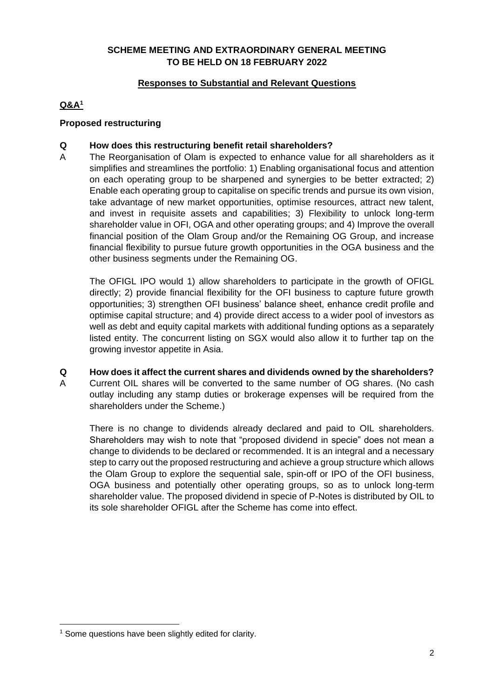### **SCHEME MEETING AND EXTRAORDINARY GENERAL MEETING TO BE HELD ON 18 FEBRUARY 2022**

# **Responses to Substantial and Relevant Questions**

# **Q&A<sup>1</sup>**

### **Proposed restructuring**

### **Q How does this restructuring benefit retail shareholders?**

A The Reorganisation of Olam is expected to enhance value for all shareholders as it simplifies and streamlines the portfolio: 1) Enabling organisational focus and attention on each operating group to be sharpened and synergies to be better extracted; 2) Enable each operating group to capitalise on specific trends and pursue its own vision, take advantage of new market opportunities, optimise resources, attract new talent, and invest in requisite assets and capabilities; 3) Flexibility to unlock long-term shareholder value in OFI, OGA and other operating groups; and 4) Improve the overall financial position of the Olam Group and/or the Remaining OG Group, and increase financial flexibility to pursue future growth opportunities in the OGA business and the other business segments under the Remaining OG.

The OFIGL IPO would 1) allow shareholders to participate in the growth of OFIGL directly; 2) provide financial flexibility for the OFI business to capture future growth opportunities; 3) strengthen OFI business' balance sheet, enhance credit profile and optimise capital structure; and 4) provide direct access to a wider pool of investors as well as debt and equity capital markets with additional funding options as a separately listed entity. The concurrent listing on SGX would also allow it to further tap on the growing investor appetite in Asia.

#### **Q How does it affect the current shares and dividends owned by the shareholders?**

A Current OIL shares will be converted to the same number of OG shares. (No cash outlay including any stamp duties or brokerage expenses will be required from the shareholders under the Scheme.)

There is no change to dividends already declared and paid to OIL shareholders. Shareholders may wish to note that "proposed dividend in specie" does not mean a change to dividends to be declared or recommended. It is an integral and a necessary step to carry out the proposed restructuring and achieve a group structure which allows the Olam Group to explore the sequential sale, spin-off or IPO of the OFI business, OGA business and potentially other operating groups, so as to unlock long-term shareholder value. The proposed dividend in specie of P-Notes is distributed by OIL to its sole shareholder OFIGL after the Scheme has come into effect.

<sup>&</sup>lt;sup>1</sup> Some questions have been slightly edited for clarity.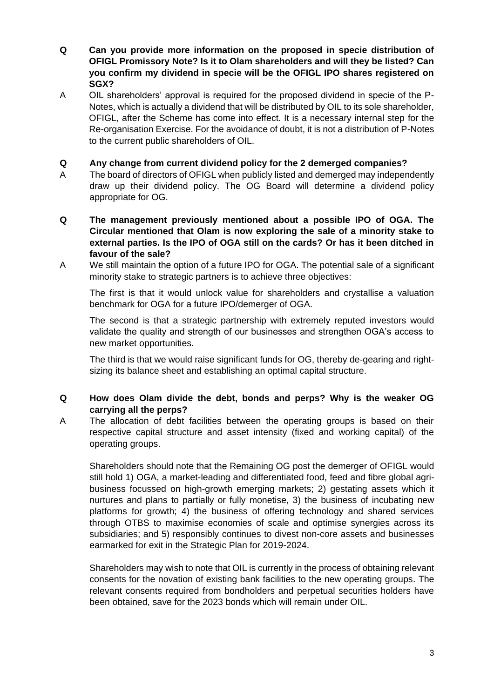- **Q Can you provide more information on the proposed in specie distribution of OFIGL Promissory Note? Is it to Olam shareholders and will they be listed? Can you confirm my dividend in specie will be the OFIGL IPO shares registered on SGX?**
- A OIL shareholders' approval is required for the proposed dividend in specie of the P-Notes, which is actually a dividend that will be distributed by OIL to its sole shareholder, OFIGL, after the Scheme has come into effect. It is a necessary internal step for the Re-organisation Exercise. For the avoidance of doubt, it is not a distribution of P-Notes to the current public shareholders of OIL.

### **Q Any change from current dividend policy for the 2 demerged companies?**

- A The board of directors of OFIGL when publicly listed and demerged may independently draw up their dividend policy. The OG Board will determine a dividend policy appropriate for OG.
- **Q The management previously mentioned about a possible IPO of OGA. The Circular mentioned that Olam is now exploring the sale of a minority stake to external parties. Is the IPO of OGA still on the cards? Or has it been ditched in favour of the sale?**
- A We still maintain the option of a future IPO for OGA. The potential sale of a significant minority stake to strategic partners is to achieve three objectives:

The first is that it would unlock value for shareholders and crystallise a valuation benchmark for OGA for a future IPO/demerger of OGA.

The second is that a strategic partnership with extremely reputed investors would validate the quality and strength of our businesses and strengthen OGA's access to new market opportunities.

The third is that we would raise significant funds for OG, thereby de-gearing and rightsizing its balance sheet and establishing an optimal capital structure.

### **Q How does Olam divide the debt, bonds and perps? Why is the weaker OG carrying all the perps?**

A The allocation of debt facilities between the operating groups is based on their respective capital structure and asset intensity (fixed and working capital) of the operating groups.

Shareholders should note that the Remaining OG post the demerger of OFIGL would still hold 1) OGA, a market-leading and differentiated food, feed and fibre global agribusiness focussed on high-growth emerging markets; 2) gestating assets which it nurtures and plans to partially or fully monetise, 3) the business of incubating new platforms for growth; 4) the business of offering technology and shared services through OTBS to maximise economies of scale and optimise synergies across its subsidiaries; and 5) responsibly continues to divest non-core assets and businesses earmarked for exit in the Strategic Plan for 2019-2024.

Shareholders may wish to note that OIL is currently in the process of obtaining relevant consents for the novation of existing bank facilities to the new operating groups. The relevant consents required from bondholders and perpetual securities holders have been obtained, save for the 2023 bonds which will remain under OIL.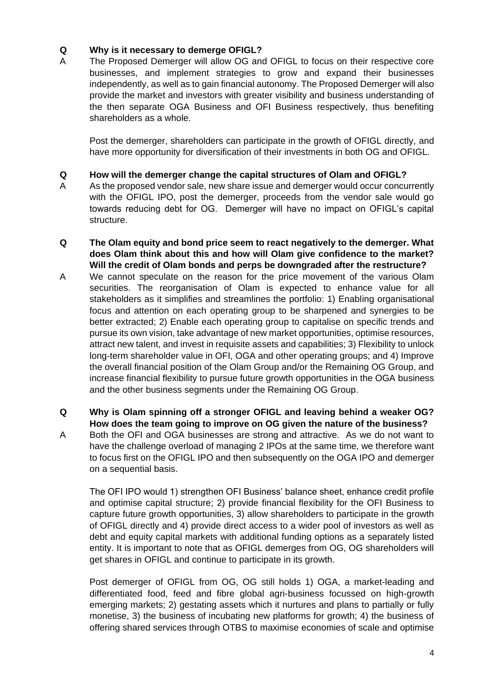### **Q Why is it necessary to demerge OFIGL?**

A The Proposed Demerger will allow OG and OFIGL to focus on their respective core businesses, and implement strategies to grow and expand their businesses independently, as well as to gain financial autonomy. The Proposed Demerger will also provide the market and investors with greater visibility and business understanding of the then separate OGA Business and OFI Business respectively, thus benefiting shareholders as a whole.

Post the demerger, shareholders can participate in the growth of OFIGL directly, and have more opportunity for diversification of their investments in both OG and OFIGL.

#### **Q How will the demerger change the capital structures of Olam and OFIGL?**

- A As the proposed vendor sale, new share issue and demerger would occur concurrently with the OFIGL IPO, post the demerger, proceeds from the vendor sale would go towards reducing debt for OG. Demerger will have no impact on OFIGL's capital structure.
- **Q The Olam equity and bond price seem to react negatively to the demerger. What does Olam think about this and how will Olam give confidence to the market? Will the credit of Olam bonds and perps be downgraded after the restructure?**
- A We cannot speculate on the reason for the price movement of the various Olam securities. The reorganisation of Olam is expected to enhance value for all stakeholders as it simplifies and streamlines the portfolio: 1) Enabling organisational focus and attention on each operating group to be sharpened and synergies to be better extracted; 2) Enable each operating group to capitalise on specific trends and pursue its own vision, take advantage of new market opportunities, optimise resources, attract new talent, and invest in requisite assets and capabilities; 3) Flexibility to unlock long-term shareholder value in OFI, OGA and other operating groups; and 4) Improve the overall financial position of the Olam Group and/or the Remaining OG Group, and increase financial flexibility to pursue future growth opportunities in the OGA business and the other business segments under the Remaining OG Group.
- **Q Why is Olam spinning off a stronger OFIGL and leaving behind a weaker OG? How does the team going to improve on OG given the nature of the business?**
- A Both the OFI and OGA businesses are strong and attractive. As we do not want to have the challenge overload of managing 2 IPOs at the same time, we therefore want to focus first on the OFIGL IPO and then subsequently on the OGA IPO and demerger on a sequential basis.

The OFI IPO would 1) strengthen OFI Business' balance sheet, enhance credit profile and optimise capital structure; 2) provide financial flexibility for the OFI Business to capture future growth opportunities, 3) allow shareholders to participate in the growth of OFIGL directly and 4) provide direct access to a wider pool of investors as well as debt and equity capital markets with additional funding options as a separately listed entity. It is important to note that as OFIGL demerges from OG, OG shareholders will get shares in OFIGL and continue to participate in its growth.

Post demerger of OFIGL from OG, OG still holds 1) OGA, a market-leading and differentiated food, feed and fibre global agri-business focussed on high-growth emerging markets; 2) gestating assets which it nurtures and plans to partially or fully monetise, 3) the business of incubating new platforms for growth; 4) the business of offering shared services through OTBS to maximise economies of scale and optimise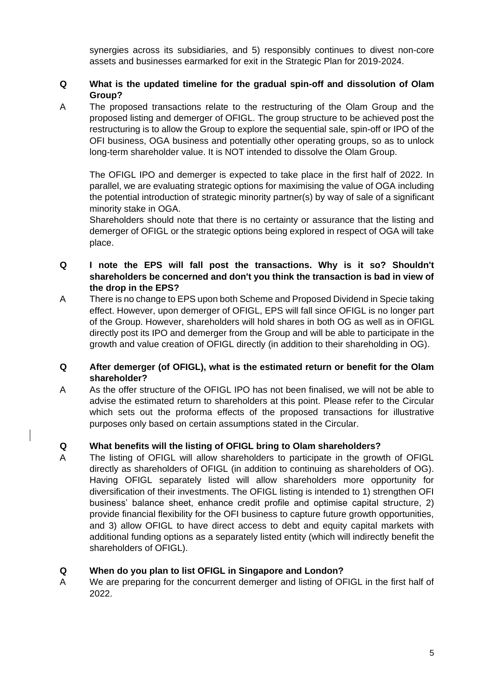synergies across its subsidiaries, and 5) responsibly continues to divest non-core assets and businesses earmarked for exit in the Strategic Plan for 2019-2024.

# **Q What is the updated timeline for the gradual spin-off and dissolution of Olam Group?**

A The proposed transactions relate to the restructuring of the Olam Group and the proposed listing and demerger of OFIGL. The group structure to be achieved post the restructuring is to allow the Group to explore the sequential sale, spin-off or IPO of the OFI business, OGA business and potentially other operating groups, so as to unlock long-term shareholder value. It is NOT intended to dissolve the Olam Group.

The OFIGL IPO and demerger is expected to take place in the first half of 2022. In parallel, we are evaluating strategic options for maximising the value of OGA including the potential introduction of strategic minority partner(s) by way of sale of a significant minority stake in OGA.

Shareholders should note that there is no certainty or assurance that the listing and demerger of OFIGL or the strategic options being explored in respect of OGA will take place.

### **Q I note the EPS will fall post the transactions. Why is it so? Shouldn't shareholders be concerned and don't you think the transaction is bad in view of the drop in the EPS?**

A There is no change to EPS upon both Scheme and Proposed Dividend in Specie taking effect. However, upon demerger of OFIGL, EPS will fall since OFIGL is no longer part of the Group. However, shareholders will hold shares in both OG as well as in OFIGL directly post its IPO and demerger from the Group and will be able to participate in the growth and value creation of OFIGL directly (in addition to their shareholding in OG).

### **Q After demerger (of OFIGL), what is the estimated return or benefit for the Olam shareholder?**

A As the offer structure of the OFIGL IPO has not been finalised, we will not be able to advise the estimated return to shareholders at this point. Please refer to the Circular which sets out the proforma effects of the proposed transactions for illustrative purposes only based on certain assumptions stated in the Circular.

# **Q What benefits will the listing of OFIGL bring to Olam shareholders?**

A The listing of OFIGL will allow shareholders to participate in the growth of OFIGL directly as shareholders of OFIGL (in addition to continuing as shareholders of OG). Having OFIGL separately listed will allow shareholders more opportunity for diversification of their investments. The OFIGL listing is intended to 1) strengthen OFI business' balance sheet, enhance credit profile and optimise capital structure, 2) provide financial flexibility for the OFI business to capture future growth opportunities, and 3) allow OFIGL to have direct access to debt and equity capital markets with additional funding options as a separately listed entity (which will indirectly benefit the shareholders of OFIGL).

# **Q When do you plan to list OFIGL in Singapore and London?**

A We are preparing for the concurrent demerger and listing of OFIGL in the first half of 2022.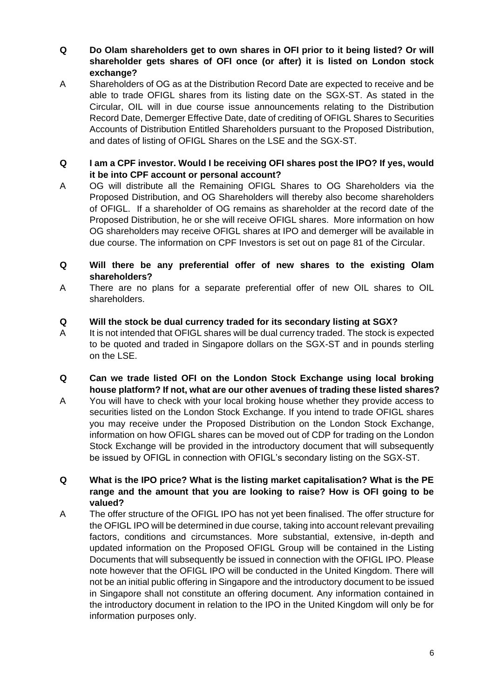**Q Do Olam shareholders get to own shares in OFI prior to it being listed? Or will shareholder gets shares of OFI once (or after) it is listed on London stock exchange?**

- A Shareholders of OG as at the Distribution Record Date are expected to receive and be able to trade OFIGL shares from its listing date on the SGX-ST. As stated in the Circular, OIL will in due course issue announcements relating to the Distribution Record Date, Demerger Effective Date, date of crediting of OFIGL Shares to Securities Accounts of Distribution Entitled Shareholders pursuant to the Proposed Distribution, and dates of listing of OFIGL Shares on the LSE and the SGX-ST.
- **Q I am a CPF investor. Would I be receiving OFI shares post the IPO? If yes, would it be into CPF account or personal account?**
- A OG will distribute all the Remaining OFIGL Shares to OG Shareholders via the Proposed Distribution, and OG Shareholders will thereby also become shareholders of OFIGL. If a shareholder of OG remains as shareholder at the record date of the Proposed Distribution, he or she will receive OFIGL shares. More information on how OG shareholders may receive OFIGL shares at IPO and demerger will be available in due course. The information on CPF Investors is set out on page 81 of the Circular.
- **Q Will there be any preferential offer of new shares to the existing Olam shareholders?**
- A There are no plans for a separate preferential offer of new OIL shares to OIL shareholders.

### **Q Will the stock be dual currency traded for its secondary listing at SGX?**

- A It is not intended that OFIGL shares will be dual currency traded. The stock is expected to be quoted and traded in Singapore dollars on the SGX-ST and in pounds sterling on the LSE.
- **Q Can we trade listed OFI on the London Stock Exchange using local broking house platform? If not, what are our other avenues of trading these listed shares?**
- A You will have to check with your local broking house whether they provide access to securities listed on the London Stock Exchange. If you intend to trade OFIGL shares you may receive under the Proposed Distribution on the London Stock Exchange, information on how OFIGL shares can be moved out of CDP for trading on the London Stock Exchange will be provided in the introductory document that will subsequently be issued by OFIGL in connection with OFIGL's secondary listing on the SGX-ST.
- **Q What is the IPO price? What is the listing market capitalisation? What is the PE range and the amount that you are looking to raise? How is OFI going to be valued?**
- A The offer structure of the OFIGL IPO has not yet been finalised. The offer structure for the OFIGL IPO will be determined in due course, taking into account relevant prevailing factors, conditions and circumstances. More substantial, extensive, in-depth and updated information on the Proposed OFIGL Group will be contained in the Listing Documents that will subsequently be issued in connection with the OFIGL IPO. Please note however that the OFIGL IPO will be conducted in the United Kingdom. There will not be an initial public offering in Singapore and the introductory document to be issued in Singapore shall not constitute an offering document. Any information contained in the introductory document in relation to the IPO in the United Kingdom will only be for information purposes only.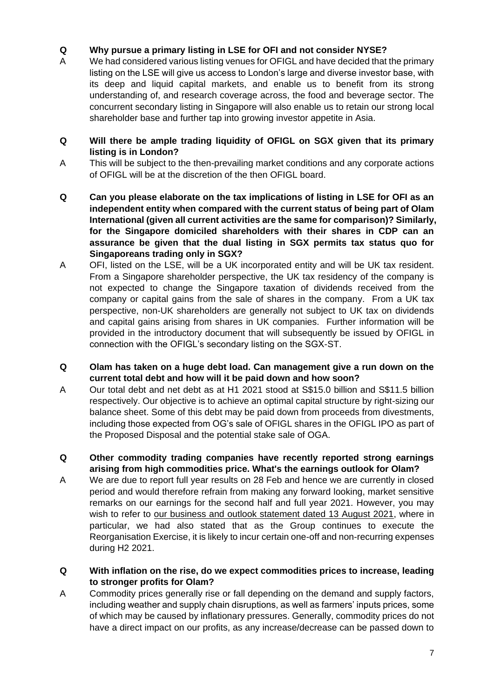# **Q Why pursue a primary listing in LSE for OFI and not consider NYSE?**

- A We had considered various listing venues for OFIGL and have decided that the primary listing on the LSE will give us access to London's large and diverse investor base, with its deep and liquid capital markets, and enable us to benefit from its strong understanding of, and research coverage across, the food and beverage sector. The concurrent secondary listing in Singapore will also enable us to retain our strong local shareholder base and further tap into growing investor appetite in Asia.
- **Q Will there be ample trading liquidity of OFIGL on SGX given that its primary listing is in London?**
- A This will be subject to the then-prevailing market conditions and any corporate actions of OFIGL will be at the discretion of the then OFIGL board.
- **Q Can you please elaborate on the tax implications of listing in LSE for OFI as an independent entity when compared with the current status of being part of Olam International (given all current activities are the same for comparison)? Similarly, for the Singapore domiciled shareholders with their shares in CDP can an assurance be given that the dual listing in SGX permits tax status quo for Singaporeans trading only in SGX?**
- A OFI, listed on the LSE, will be a UK incorporated entity and will be UK tax resident. From a Singapore shareholder perspective, the UK tax residency of the company is not expected to change the Singapore taxation of dividends received from the company or capital gains from the sale of shares in the company. From a UK tax perspective, non-UK shareholders are generally not subject to UK tax on dividends and capital gains arising from shares in UK companies. Further information will be provided in the introductory document that will subsequently be issued by OFIGL in connection with the OFIGL's secondary listing on the SGX-ST.
- **Q Olam has taken on a huge debt load. Can management give a run down on the current total debt and how will it be paid down and how soon?**
- A Our total debt and net debt as at H1 2021 stood at S\$15.0 billion and S\$11.5 billion respectively. Our objective is to achieve an optimal capital structure by right-sizing our balance sheet. Some of this debt may be paid down from proceeds from divestments, including those expected from OG's sale of OFIGL shares in the OFIGL IPO as part of the Proposed Disposal and the potential stake sale of OGA.
- **Q Other commodity trading companies have recently reported strong earnings arising from high commodities price. What's the earnings outlook for Olam?**
- A We are due to report full year results on 28 Feb and hence we are currently in closed period and would therefore refrain from making any forward looking, market sensitive remarks on our earnings for the second half and full year 2021. However, you may wish to refer to [our business and outlook statement dated 13 August 2021,](https://www.olamgroup.com/content/dam/olamgroup/investor-relations/ir-library/sgx-filings/sgx-filings-pdfs/13aug2021_h1-fy2021-results_mda.pdf) where in particular, we had also stated that as the Group continues to execute the Reorganisation Exercise, it is likely to incur certain one-off and non-recurring expenses during H2 2021.
- **Q With inflation on the rise, do we expect commodities prices to increase, leading to stronger profits for Olam?**
- A Commodity prices generally rise or fall depending on the demand and supply factors, including weather and supply chain disruptions, as well as farmers' inputs prices, some of which may be caused by inflationary pressures. Generally, commodity prices do not have a direct impact on our profits, as any increase/decrease can be passed down to